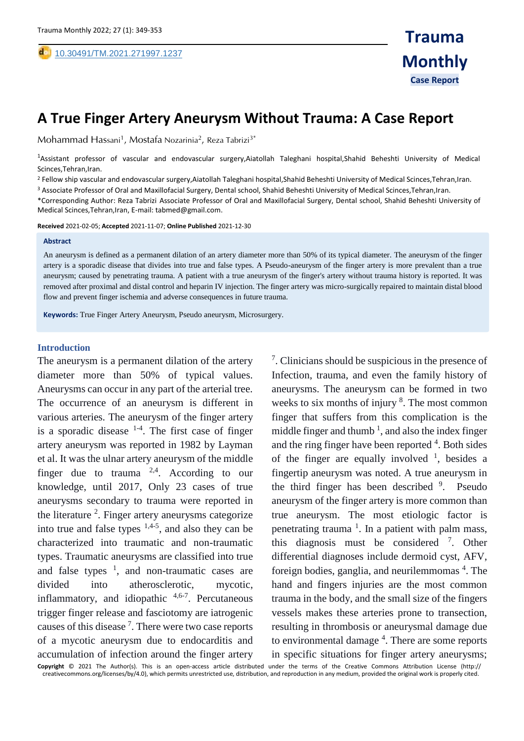# **A True Finger Artery Aneurysm Without Trauma: A Case Report**

Mohammad Hassani<sup>1</sup>, Mostafa Nozarinia<sup>2</sup>, Reza Tabrizi<sup>3\*</sup>

<sup>1</sup>Assistant professor of vascular and endovascular surgery,Aiatollah Taleghani hospital,Shahid Beheshti University of Medical Scinces, Tehran, Iran.

<sup>2</sup> Fellow ship vascular and endovascular surgery,Aiatollah Taleghani hospital,Shahid Beheshti University of Medical Scinces,Tehran,Iran.

<sup>3</sup> Associate Professor of Oral and Maxillofacial Surgery, Dental school, Shahid Beheshti University of Medical Scinces,Tehran,Iran.

\*Corresponding Author: Reza Tabrizi Associate Professor of Oral and Maxillofacial Surgery, Dental school, Shahid Beheshti University of Medical Scinces,Tehran,Iran, E-mail: tabmed@gmail.com.

**Received** 2021-02-05; **Accepted** 2021-11-07; **Online Published** 2021-12-30

#### **Abstract**

,

An aneurysm is defined as a permanent dilation of an artery diameter more than 50% of its typical diameter. The aneurysm of the finger artery is a sporadic disease that divides into true and false types. A Pseudo-aneurysm of the finger artery is more prevalent than a true aneurysm; caused by penetrating trauma. A patient with a true aneurysm of the finger's artery without trauma history is reported. It was removed after proximal and distal control and heparin IV injection. The finger artery was micro-surgically repaired to maintain distal blood flow and prevent finger ischemia and adverse consequences in future trauma.

**Keywords:** True Finger Artery Aneurysm, Pseudo aneurysm, Microsurgery.

## **Introduction**

The aneurysm is a permanent dilation of the artery diameter more than 50% of typical values. Aneurysms can occur in any part of the arterial tree. The occurrence of an aneurysm is different in various arteries. The aneurysm of the finger artery is a sporadic disease  $1-4$ . The first case of finger artery aneurysm was reported in 1982 by Layman et al. It was the ulnar artery aneurysm of the middle finger due to trauma  $2.4$ . According to our knowledge, until 2017, Only 23 cases of true aneurysms secondary to trauma were reported in the literature  $2$ . Finger artery aneurysms categorize into true and false types  $1,4-5$ , and also they can be characterized into traumatic and non-traumatic types. Traumatic aneurysms are classified into true and false types  $\frac{1}{1}$ , and non-traumatic cases are divided into atherosclerotic, mycotic, inflammatory, and idiopathic <sup>4,6-7</sup>. Percutaneous trigger finger release and fasciotomy are iatrogenic causes of this disease<sup>7</sup>. There were two case reports of a mycotic aneurysm due to endocarditis and accumulation of infection around the finger artery

7 . Clinicians should be suspicious in the presence of Infection, trauma, and even the family history of aneurysms. The aneurysm can be formed in two weeks to six months of injury <sup>8</sup>. The most common finger that suffers from this complication is the middle finger and thumb<sup>1</sup>, and also the index finger and the ring finger have been reported <sup>4</sup>. Both sides of the finger are equally involved  $\frac{1}{1}$ , besides a fingertip aneurysm was noted. A true aneurysm in the third finger has been described <sup>9</sup>. Pseudo aneurysm of the finger artery is more common than true aneurysm. The most etiologic factor is penetrating trauma  $<sup>1</sup>$ . In a patient with palm mass,</sup> this diagnosis must be considered <sup>7</sup>. Other differential diagnoses include dermoid cyst, AFV, foreign bodies, ganglia, and neurilemmomas<sup>4</sup>. The hand and fingers injuries are the most common trauma in the body, and the small size of the fingers vessels makes these arteries prone to transection, resulting in thrombosis or aneurysmal damage due to environmental damage<sup>4</sup>. There are some reports in specific situations for finger artery aneurysms;

**Copyright** © 2021 The Author(s). This is an open-access article distributed under the terms of the Creative Commons Attribution License (http:// creativecommons.org/licenses/by/4.0), which permits unrestricted use, distribution, and reproduction in any medium, provided the original work is properly cited.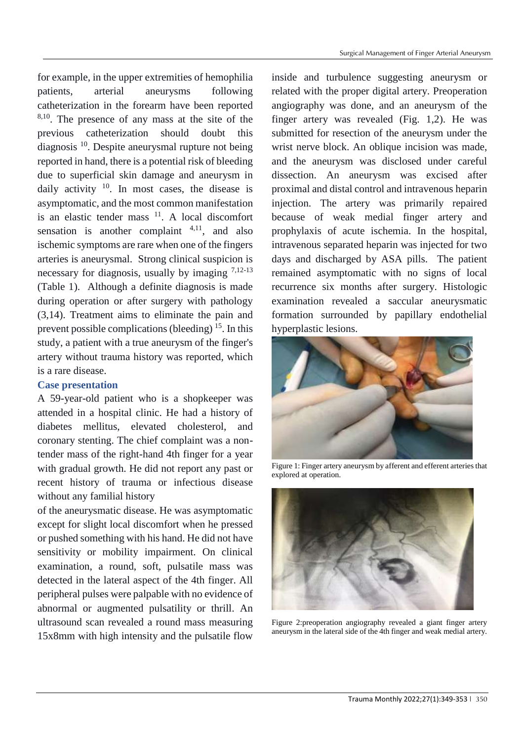for example, in the upper extremities of hemophilia patients, arterial aneurysms following catheterization in the forearm have been reported 8,10. The presence of any mass at the site of the previous catheterization should doubt this diagnosis <sup>10</sup>. Despite aneurysmal rupture not being reported in hand, there is a potential risk of bleeding due to superficial skin damage and aneurysm in daily activity  $10$ . In most cases, the disease is asymptomatic, and the most common manifestation is an elastic tender mass  $11$ . A local discomfort sensation is another complaint  $4,11$ , and also ischemic symptoms are rare when one of the fingers arteries is aneurysmal. Strong clinical suspicion is necessary for diagnosis, usually by imaging  $7,12-13$ (Table 1). Although a definite diagnosis is made during operation or after surgery with pathology (3,14). Treatment aims to eliminate the pain and prevent possible complications (bleeding)  $15$ . In this study, a patient with a true aneurysm of the finger's artery without trauma history was reported, which is a rare disease.

# **Case presentation**

A 59-year-old patient who is a shopkeeper was attended in a hospital clinic. He had a history of diabetes mellitus, elevated cholesterol, and coronary stenting. The chief complaint was a nontender mass of the right-hand 4th finger for a year with gradual growth. He did not report any past or recent history of trauma or infectious disease without any familial history

of the aneurysmatic disease. He was asymptomatic except for slight local discomfort when he pressed or pushed something with his hand. He did not have sensitivity or mobility impairment. On clinical examination, a round, soft, pulsatile mass was detected in the lateral aspect of the 4th finger. All peripheral pulses were palpable with no evidence of abnormal or augmented pulsatility or thrill. An ultrasound scan revealed a round mass measuring 15x8mm with high intensity and the pulsatile flow

inside and turbulence suggesting aneurysm or related with the proper digital artery. Preoperation angiography was done, and an aneurysm of the finger artery was revealed (Fig. 1,2). He was submitted for resection of the aneurysm under the wrist nerve block. An oblique incision was made, and the aneurysm was disclosed under careful dissection. An aneurysm was excised after proximal and distal control and intravenous heparin injection. The artery was primarily repaired because of weak medial finger artery and prophylaxis of acute ischemia. In the hospital, intravenous separated heparin was injected for two days and discharged by ASA pills. The patient remained asymptomatic with no signs of local recurrence six months after surgery. Histologic examination revealed a saccular aneurysmatic formation surrounded by papillary endothelial hyperplastic lesions.



Figure 1: Finger artery aneurysm by afferent and efferent arteries that explored at operation.



Figure 2:preoperation angiography revealed a giant finger artery aneurysm in the lateral side of the 4th finger and weak medial artery.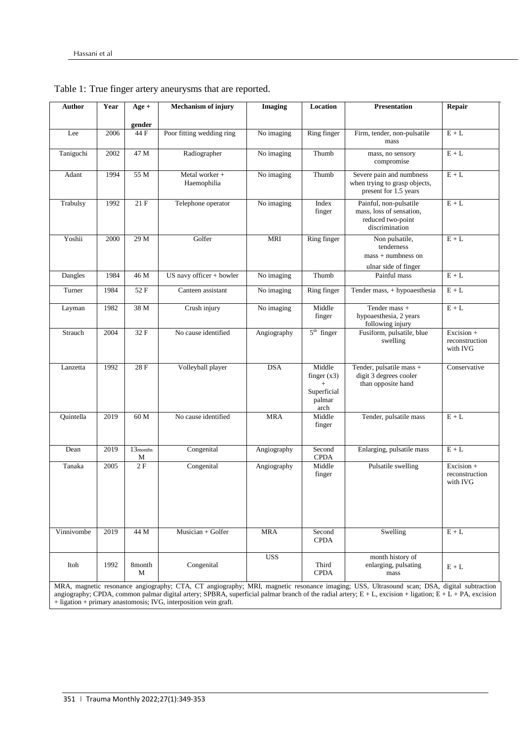| Author                                                                                                                                                                                                                                                                                                                                                                          | Year | $Age +$                   | <b>Mechanism of injury</b>    | <b>Imaging</b> | Location                                                 | <b>Presentation</b>                                                                       | Repair                                   |
|---------------------------------------------------------------------------------------------------------------------------------------------------------------------------------------------------------------------------------------------------------------------------------------------------------------------------------------------------------------------------------|------|---------------------------|-------------------------------|----------------|----------------------------------------------------------|-------------------------------------------------------------------------------------------|------------------------------------------|
|                                                                                                                                                                                                                                                                                                                                                                                 |      |                           |                               |                |                                                          |                                                                                           |                                          |
| Lee                                                                                                                                                                                                                                                                                                                                                                             | 2006 | gender<br>44 F            | Poor fitting wedding ring     | No imaging     | Ring finger                                              | Firm, tender, non-pulsatile<br>mass                                                       | $E + L$                                  |
| Taniguchi                                                                                                                                                                                                                                                                                                                                                                       | 2002 | 47 M                      | Radiographer                  | No imaging     | Thumb                                                    | mass, no sensory<br>compromise                                                            | $E+L$                                    |
| Adant                                                                                                                                                                                                                                                                                                                                                                           | 1994 | 55 M                      | Metal worker +<br>Haemophilia | No imaging     | Thumb                                                    | Severe pain and numbness<br>when trying to grasp objects,<br>present for 1.5 years        | $E + L$                                  |
| Trabulsy                                                                                                                                                                                                                                                                                                                                                                        | 1992 | $21 F$                    | Telephone operator            | No imaging     | Index<br>finger                                          | Painful, non-pulsatile<br>mass, loss of sensation,<br>reduced two-point<br>discrimination | $E + L$                                  |
| Yoshii                                                                                                                                                                                                                                                                                                                                                                          | 2000 | 29 M                      | Golfer                        | <b>MRI</b>     | Ring finger                                              | Non pulsatile,<br>tenderness<br>$mass + numbers on$<br>ulnar side of finger               | $E + L$                                  |
| Dangles                                                                                                                                                                                                                                                                                                                                                                         | 1984 | 46 M                      | US navy officer $+$ bowler    | No imaging     | Thumb                                                    | Painful mass                                                                              | $E + L$                                  |
| Turner                                                                                                                                                                                                                                                                                                                                                                          | 1984 | 52 F                      | Canteen assistant             | No imaging     | Ring finger                                              | Tender mass, + hypoaesthesia                                                              | $E + L$                                  |
| Layman                                                                                                                                                                                                                                                                                                                                                                          | 1982 | 38 M                      | Crush injury                  | No imaging     | Middle<br>finger                                         | Tender mass +<br>hypoaesthesia, 2 years<br>following injury                               | $E+L$                                    |
| Strauch                                                                                                                                                                                                                                                                                                                                                                         | 2004 | 32 F                      | No cause identified           | Angiography    | $5th$ finger                                             | Fusiform, pulsatile, blue<br>swelling                                                     | Excision +<br>reconstruction<br>with IVG |
| Lanzetta                                                                                                                                                                                                                                                                                                                                                                        | 1992 | 28 F                      | Volleyball player             | <b>DSA</b>     | Middle<br>finger $(x3)$<br>Superficial<br>palmar<br>arch | Tender, pulsatile mass +<br>digit 3 degrees cooler<br>than opposite hand                  | Conservative                             |
| Quintella                                                                                                                                                                                                                                                                                                                                                                       | 2019 | 60 M                      | No cause identified           | <b>MRA</b>     | Middle<br>finger                                         | Tender, pulsatile mass                                                                    | $E + L$                                  |
| Dean                                                                                                                                                                                                                                                                                                                                                                            | 2019 | 13 <sub>months</sub><br>М | Congenital                    | Angiography    | Second<br><b>CPDA</b>                                    | Enlarging, pulsatile mass                                                                 | $E + L$                                  |
| Tanaka                                                                                                                                                                                                                                                                                                                                                                          | 2005 | 2F                        | Congenital                    | Angiography    | Middle<br>finger                                         | Pulsatile swelling                                                                        | Excision +<br>reconstruction<br>with IVG |
| Vinnivombe                                                                                                                                                                                                                                                                                                                                                                      | 2019 | 44 M                      | Musician + Golfer             | <b>MRA</b>     | Second<br><b>CPDA</b>                                    | Swelling                                                                                  | $\mathbf{E}+\mathbf{L}$                  |
| Itoh                                                                                                                                                                                                                                                                                                                                                                            | 1992 | 8month<br>М               | Congenital                    | <b>USS</b>     | Third<br><b>CPDA</b>                                     | month history of<br>enlarging, pulsating<br>mass                                          | $E + L$                                  |
| MRA, magnetic resonance angiography; CTA, CT angiography; MRI, magnetic resonance imaging; USS, Ultrasound scan; DSA, digital subtraction<br>angiography; CPDA, common palmar digital artery; SPBRA, superficial palmar branch of the radial artery; $E + L$ , excision + ligation; $E + L + PA$ , excision<br>+ ligation + primary anastomosis; IVG, interposition vein graft. |      |                           |                               |                |                                                          |                                                                                           |                                          |

Table 1: True finger artery aneurysms that are reported.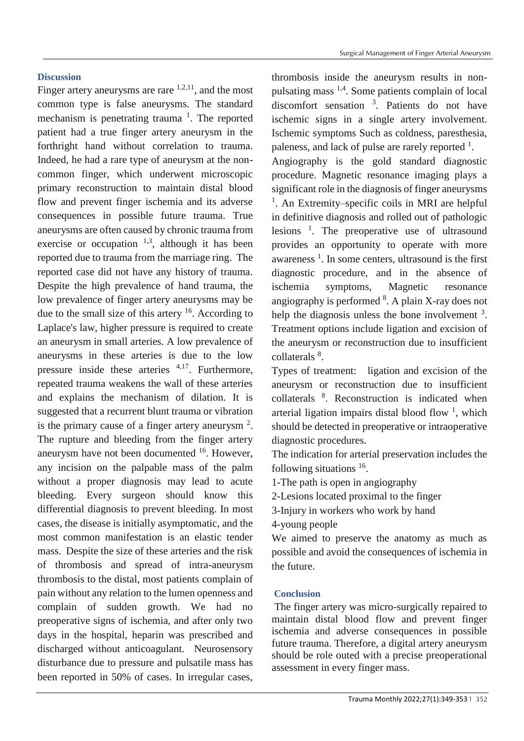# **Discussion**

Finger artery aneurysms are rare  $1,2,11$ , and the most common type is false aneurysms. The standard mechanism is penetrating trauma  $\frac{1}{1}$ . The reported patient had a true finger artery aneurysm in the forthright hand without correlation to trauma. Indeed, he had a rare type of aneurysm at the noncommon finger, which underwent microscopic primary reconstruction to maintain distal blood flow and prevent finger ischemia and its adverse consequences in possible future trauma. True aneurysms are often caused by chronic trauma from exercise or occupation  $1,3$ , although it has been reported due to trauma from the marriage ring. The reported case did not have any history of trauma. Despite the high prevalence of hand trauma, the low prevalence of finger artery aneurysms may be due to the small size of this artery  $16$ . According to Laplace's law, higher pressure is required to create an aneurysm in small arteries. A low prevalence of aneurysms in these arteries is due to the low pressure inside these arteries  $4,17$ . Furthermore, repeated trauma weakens the wall of these arteries and explains the mechanism of dilation. It is suggested that a recurrent blunt trauma or vibration is the primary cause of a finger artery aneurysm  $2$ . The rupture and bleeding from the finger artery aneurysm have not been documented <sup>16</sup>. However, any incision on the palpable mass of the palm without a proper diagnosis may lead to acute bleeding. Every surgeon should know this differential diagnosis to prevent bleeding. In most cases, the disease is initially asymptomatic, and the most common manifestation is an elastic tender mass. Despite the size of these arteries and the risk of thrombosis and spread of intra-aneurysm thrombosis to the distal, most patients complain of pain without any relation to the lumen openness and complain of sudden growth. We had no preoperative signs of ischemia, and after only two days in the hospital, heparin was prescribed and discharged without anticoagulant. Neurosensory disturbance due to pressure and pulsatile mass has been reported in 50% of cases. In irregular cases,

thrombosis inside the aneurysm results in nonpulsating mass 1,4. Some patients complain of local discomfort sensation <sup>3</sup> . Patients do not have ischemic signs in a single artery involvement. Ischemic symptoms Such as coldness, paresthesia, paleness, and lack of pulse are rarely reported  $<sup>1</sup>$ .</sup>

Angiography is the gold standard diagnostic procedure. Magnetic resonance imaging plays a significant role in the diagnosis of finger aneurysms <sup>1</sup>. An Extremity–specific coils in MRI are helpful in definitive diagnosis and rolled out of pathologic lesions <sup>1</sup> . The preoperative use of ultrasound provides an opportunity to operate with more awareness<sup> $1$ </sup>. In some centers, ultrasound is the first diagnostic procedure, and in the absence of ischemia symptoms, Magnetic resonance angiography is performed  $8$ . A plain X-ray does not help the diagnosis unless the bone involvement  $3$ . Treatment options include ligation and excision of the aneurysm or reconstruction due to insufficient collaterals <sup>8</sup>.

Types of treatment: ligation and excision of the aneurysm or reconstruction due to insufficient collaterals <sup>8</sup>. Reconstruction is indicated when arterial ligation impairs distal blood flow  $\frac{1}{1}$ , which should be detected in preoperative or intraoperative diagnostic procedures.

The indication for arterial preservation includes the following situations <sup>16</sup>.

1-The path is open in angiography

2-Lesions located proximal to the finger

3-Injury in workers who work by hand

4-young people

We aimed to preserve the anatomy as much as possible and avoid the consequences of ischemia in the future.

## **Conclusion**

The finger artery was micro-surgically repaired to maintain distal blood flow and prevent finger ischemia and adverse consequences in possible future trauma. Therefore, a digital artery aneurysm should be role outed with a precise preoperational assessment in every finger mass.